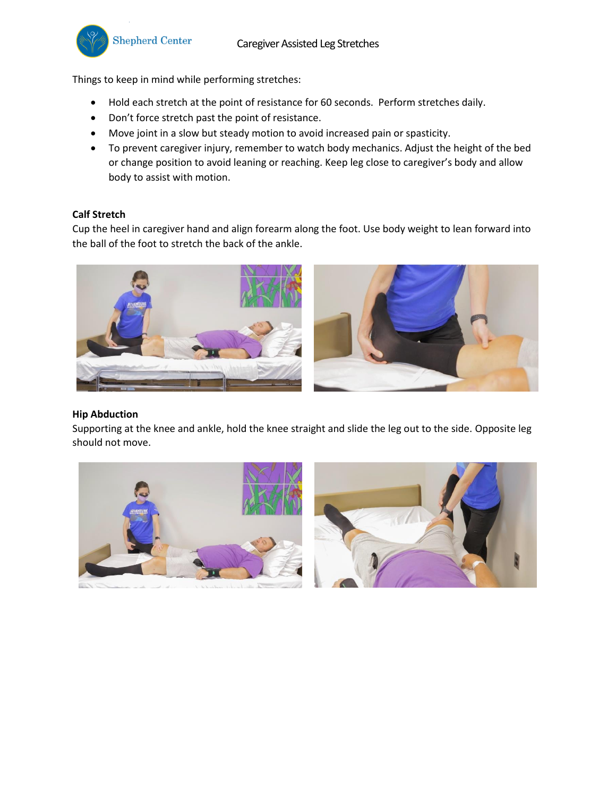Things to keep in mind while performing stretches:

- Hold each stretch at the point of resistance for 60 seconds. Perform stretches daily.
- Don't force stretch past the point of resistance.
- Move joint in a slow but steady motion to avoid increased pain or spasticity.
- To prevent caregiver injury, remember to watch body mechanics. Adjust the height of the bed or change position to avoid leaning or reaching. Keep leg close to caregiver's body and allow body to assist with motion.

# **Calf Stretch**

Cup the heel in caregiver hand and align forearm along the foot. Use body weight to lean forward into the ball of the foot to stretch the back of the ankle.



# **Hip Abduction**

Supporting at the knee and ankle, hold the knee straight and slide the leg out to the side. Opposite leg should not move.

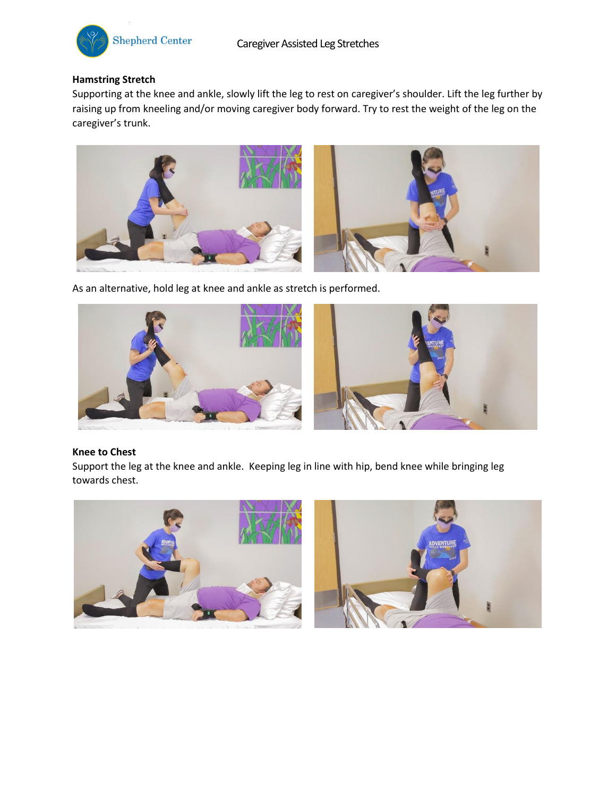

# **Hamstring Stretch**

Supporting at the knee and ankle, slowly lift the leg to rest on caregiver's shoulder. Lift the leg further by raising up from kneeling and/or moving caregiver body forward. Try to rest the weight of the leg on the caregiver's trunk.



As an alternative, hold leg at knee and ankle as stretch is performed.



#### **Knee to Chest**

Support the leg at the knee and ankle. Keeping leg in line with hip, bend knee while bringing leg towards chest.

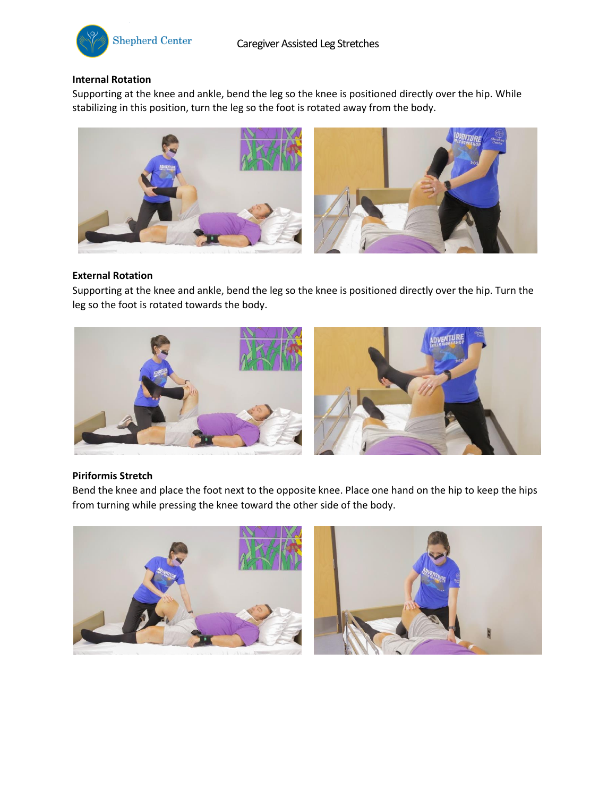

## **Internal Rotation**

Supporting at the knee and ankle, bend the leg so the knee is positioned directly over the hip. While stabilizing in this position, turn the leg so the foot is rotated away from the body.



#### **External Rotation**

Supporting at the knee and ankle, bend the leg so the knee is positioned directly over the hip. Turn the leg so the foot is rotated towards the body.



### **Piriformis Stretch**

Bend the knee and place the foot next to the opposite knee. Place one hand on the hip to keep the hips from turning while pressing the knee toward the other side of the body.